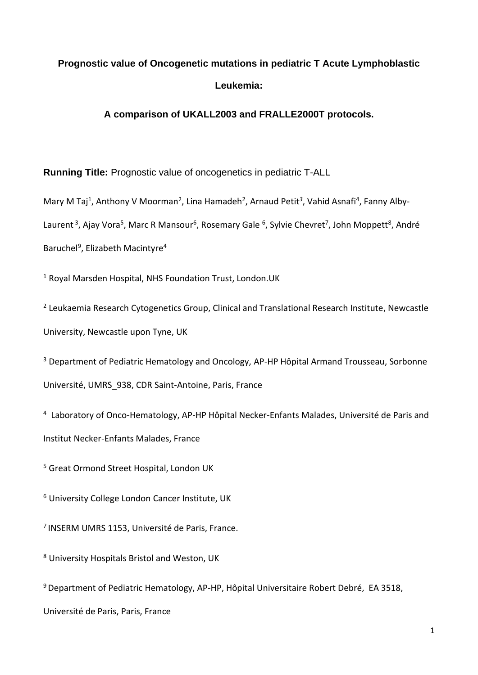# **Prognostic value of Oncogenetic mutations in pediatric T Acute Lymphoblastic Leukemia:**

# **A comparison of UKALL2003 and FRALLE2000T protocols.**

**Running Title:** Prognostic value of oncogenetics in pediatric T-ALL

Mary M Taj<sup>1</sup>, Anthony V Moorman<sup>2</sup>, Lina Hamadeh<sup>2</sup>, Arnaud Petit<sup>3</sup>, Vahid Asnafi<sup>4</sup>, Fanny Alby-Laurent<sup>3</sup>, Ajay Vora<sup>5</sup>, Marc R Mansour<sup>6</sup>, Rosemary Gale <sup>6</sup>, Sylvie Chevret<sup>7</sup>, John Moppett<sup>8</sup>, André Baruchel<sup>9</sup>, Elizabeth Macintyre<sup>4</sup>

<sup>1</sup> Royal Marsden Hospital, NHS Foundation Trust, London.UK

<sup>2</sup> Leukaemia Research Cytogenetics Group, Clinical and Translational Research Institute, Newcastle University, Newcastle upon Tyne, UK

<sup>3</sup> Department of Pediatric Hematology and Oncology, AP-HP Hôpital Armand Trousseau, Sorbonne Université, UMRS\_938, CDR Saint-Antoine, Paris, France

<sup>4</sup> Laboratory of Onco-Hematology, AP-HP Hôpital Necker-Enfants Malades, Université de Paris and Institut Necker-Enfants Malades, France

<sup>5</sup> Great Ormond Street Hospital, London UK

<sup>6</sup> University College London Cancer Institute, UK

<sup>7</sup> INSERM UMRS 1153, Université de Paris, France.

<sup>8</sup> University Hospitals Bristol and Weston, UK

<sup>9</sup> Department of Pediatric Hematology, AP-HP, Hôpital Universitaire Robert Debré, EA 3518,

Université de Paris, Paris, France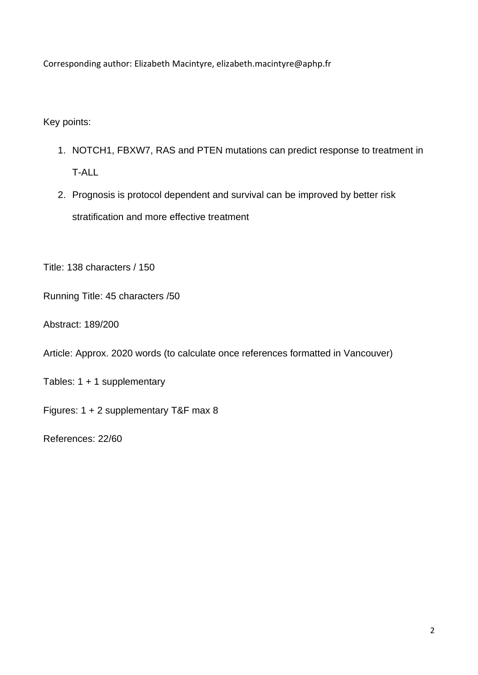Corresponding author: Elizabeth Macintyre, elizabeth.macintyre@aphp.fr

Key points:

- 1. NOTCH1, FBXW7, RAS and PTEN mutations can predict response to treatment in T-ALL
- 2. Prognosis is protocol dependent and survival can be improved by better risk stratification and more effective treatment

Title: 138 characters / 150

Running Title: 45 characters /50

Abstract: 189/200

Article: Approx. 2020 words (to calculate once references formatted in Vancouver)

Tables: 1 + 1 supplementary

Figures: 1 + 2 supplementary T&F max 8

References: 22/60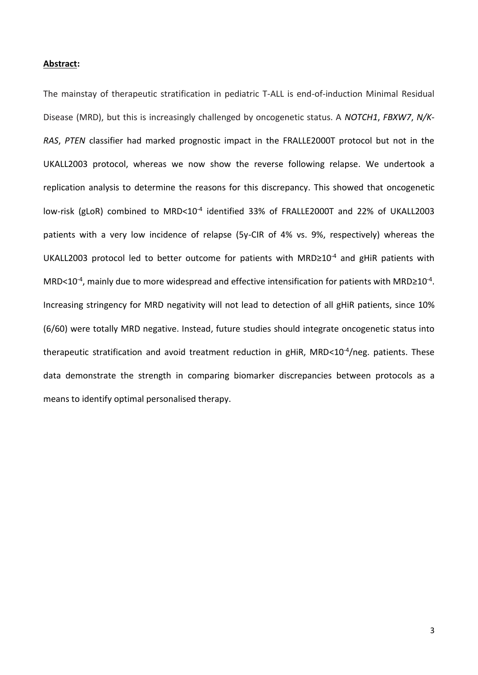#### **Abstract:**

The mainstay of therapeutic stratification in pediatric T-ALL is end-of-induction Minimal Residual Disease (MRD), but this is increasingly challenged by oncogenetic status. A *NOTCH1*, *FBXW7*, *N/K-RAS*, *PTEN* classifier had marked prognostic impact in the FRALLE2000T protocol but not in the UKALL2003 protocol, whereas we now show the reverse following relapse. We undertook a replication analysis to determine the reasons for this discrepancy. This showed that oncogenetic low-risk (gLoR) combined to MRD<10<sup>-4</sup> identified 33% of FRALLE2000T and 22% of UKALL2003 patients with a very low incidence of relapse (5y-CIR of 4% vs. 9%, respectively) whereas the UKALL2003 protocol led to better outcome for patients with MRD≥10-4 and gHiR patients with MRD<10 $4$ , mainly due to more widespread and effective intensification for patients with MRD≥10 $4$ . Increasing stringency for MRD negativity will not lead to detection of all gHiR patients, since 10% (6/60) were totally MRD negative. Instead, future studies should integrate oncogenetic status into therapeutic stratification and avoid treatment reduction in gHiR, MRD<10<sup>-4</sup>/neg. patients. These data demonstrate the strength in comparing biomarker discrepancies between protocols as a means to identify optimal personalised therapy.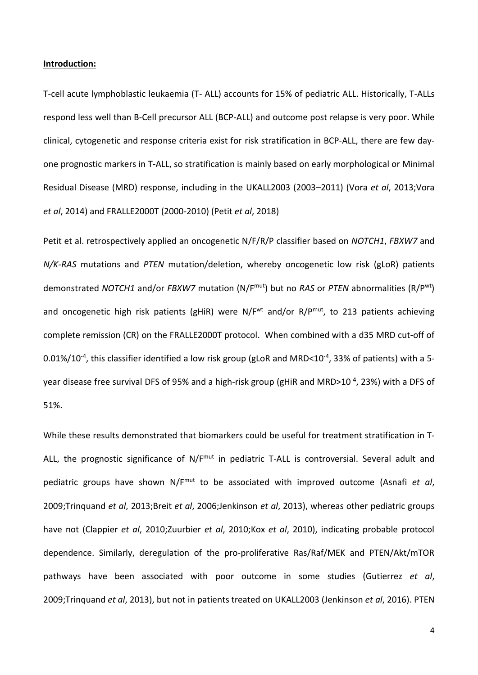#### **Introduction:**

T-cell acute lymphoblastic leukaemia (T- ALL) accounts for 15% of pediatric ALL. Historically, T-ALLs respond less well than B-Cell precursor ALL (BCP-ALL) and outcome post relapse is very poor. While clinical, cytogenetic and response criteria exist for risk stratification in BCP-ALL, there are few dayone prognostic markers in T-ALL, so stratification is mainly based on early morphological or Minimal Residual Disease (MRD) response, including in the UKALL2003 (2003–2011) (Vora *et al*, 2013;Vora *et al*, 2014) and FRALLE2000T (2000-2010) (Petit *et al*, 2018)

Petit et al. retrospectively applied an oncogenetic N/F/R/P classifier based on *NOTCH1*, *FBXW7* and *N/K-RAS* mutations and *PTEN* mutation/deletion, whereby oncogenetic low risk (gLoR) patients demonstrated *NOTCH1* and/or *FBXW7* mutation (N/Fmut) but no *RAS* or *PTEN* abnormalities (R/Pwt) and oncogenetic high risk patients (gHiR) were N/F<sup>wt</sup> and/or R/P<sup>mut</sup>, to 213 patients achieving complete remission (CR) on the FRALLE2000T protocol. When combined with a d35 MRD cut-off of 0.01%/10<sup>-4</sup>, this classifier identified a low risk group (gLoR and MRD<10<sup>-4</sup>, 33% of patients) with a 5year disease free survival DFS of 95% and a high-risk group (gHiR and MRD>10<sup>-4</sup>, 23%) with a DFS of 51%.

While these results demonstrated that biomarkers could be useful for treatment stratification in T-ALL, the prognostic significance of N/F<sup>mut</sup> in pediatric T-ALL is controversial. Several adult and pediatric groups have shown N/Fmut to be associated with improved outcome (Asnafi *et al*, 2009;Trinquand *et al*, 2013;Breit *et al*, 2006;Jenkinson *et al*, 2013), whereas other pediatric groups have not (Clappier *et al*, 2010;Zuurbier *et al*, 2010;Kox *et al*, 2010), indicating probable protocol dependence. Similarly, deregulation of the pro-proliferative Ras/Raf/MEK and PTEN/Akt/mTOR pathways have been associated with poor outcome in some studies (Gutierrez *et al*, 2009;Trinquand *et al*, 2013), but not in patients treated on UKALL2003 (Jenkinson *et al*, 2016). PTEN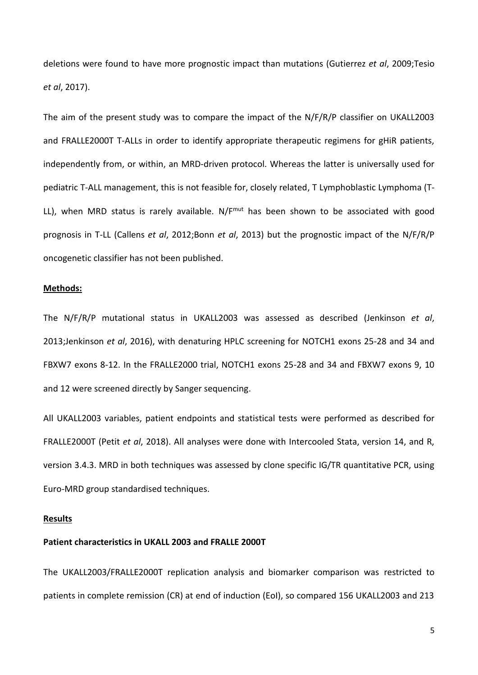deletions were found to have more prognostic impact than mutations (Gutierrez *et al*, 2009;Tesio *et al*, 2017).

The aim of the present study was to compare the impact of the N/F/R/P classifier on UKALL2003 and FRALLE2000T T-ALLs in order to identify appropriate therapeutic regimens for gHiR patients, independently from, or within, an MRD-driven protocol. Whereas the latter is universally used for pediatric T-ALL management, this is not feasible for, closely related, T Lymphoblastic Lymphoma (T-LL), when MRD status is rarely available.  $N/F^{mut}$  has been shown to be associated with good prognosis in T-LL (Callens *et al*, 2012;Bonn *et al*, 2013) but the prognostic impact of the N/F/R/P oncogenetic classifier has not been published.

#### **Methods:**

The N/F/R/P mutational status in UKALL2003 was assessed as described (Jenkinson *et al*, 2013;Jenkinson *et al*, 2016), with denaturing HPLC screening for NOTCH1 exons 25-28 and 34 and FBXW7 exons 8-12. In the FRALLE2000 trial, NOTCH1 exons 25-28 and 34 and FBXW7 exons 9, 10 and 12 were screened directly by Sanger sequencing.

All UKALL2003 variables, patient endpoints and statistical tests were performed as described for FRALLE2000T (Petit *et al*, 2018). All analyses were done with Intercooled Stata, version 14, and R, version 3.4.3. MRD in both techniques was assessed by clone specific IG/TR quantitative PCR, using Euro-MRD group standardised techniques.

#### **Results**

#### **Patient characteristics in UKALL 2003 and FRALLE 2000T**

The UKALL2003/FRALLE2000T replication analysis and biomarker comparison was restricted to patients in complete remission (CR) at end of induction (EoI), so compared 156 UKALL2003 and 213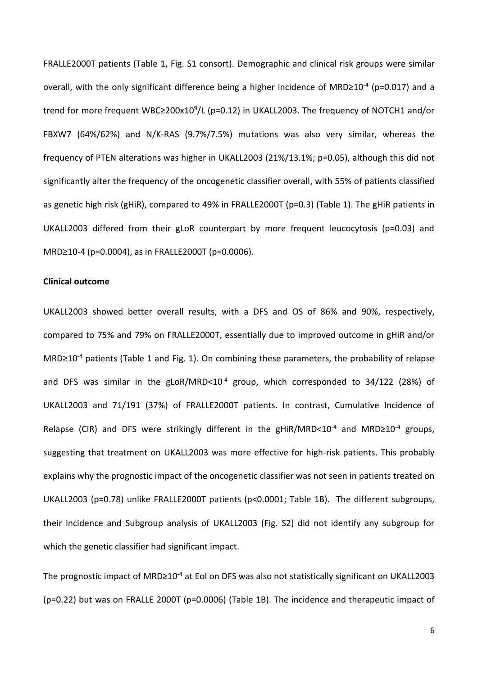FRALLE2000T patients (Table 1, Fig. S1 consort). Demographic and clinical risk groups were similar overall, with the only significant difference being a higher incidence of MRD≥10<sup>-4</sup> (p=0.017) and a trend for more frequent WBC≥200x10<sup>9</sup>/L (p=0.12) in UKALL2003. The frequency of NOTCH1 and/or FBXW7 (64%/62%) and N/K-RAS (9.7%/7.5%) mutations was also very similar, whereas the frequency of PTEN alterations was higher in UKALL2003 (21%/13.1%; p=0.05), although this did not significantly alter the frequency of the oncogenetic classifier overall, with 55% of patients classified as genetic high risk (gHiR), compared to 49% in FRALLE2000T (p=0.3) (Table 1). The gHiR patients in UKALL2003 differed from their gLoR counterpart by more frequent leucocytosis (p=0.03) and MRD≥10-4 (p=0.0004), as in FRALLE2000T (p=0.0006).

#### **Clinical outcome**

UKALL2003 showed better overall results, with a DFS and OS of 86% and 90%, respectively, compared to 75% and 79% on FRALLE2000T, essentially due to improved outcome in gHiR and/or MRD≥10<sup>-4</sup> patients (Table 1 and Fig. 1). On combining these parameters, the probability of relapse and DFS was similar in the gLoR/MRD<10<sup>-4</sup> group, which corresponded to 34/122 (28%) of UKALL2003 and 71/191 (37%) of FRALLE2000T patients. In contrast, Cumulative Incidence of Relapse (CIR) and DFS were strikingly different in the gHiR/MRD<10<sup>-4</sup> and MRD≥10<sup>-4</sup> groups, suggesting that treatment on UKALL2003 was more effective for high-risk patients. This probably explains why the prognostic impact of the oncogenetic classifier was not seen in patients treated on UKALL2003 (p=0.78) unlike FRALLE2000T patients (p<0.0001; Table 1B). The different subgroups, their incidence and Subgroup analysis of UKALL2003 (Fig. S2) did not identify any subgroup for which the genetic classifier had significant impact.

The prognostic impact of MRD≥10<sup>-4</sup> at EoI on DFS was also not statistically significant on UKALL2003 (p=0.22) but was on FRALLE 2000T (p=0.0006) (Table 1B). The incidence and therapeutic impact of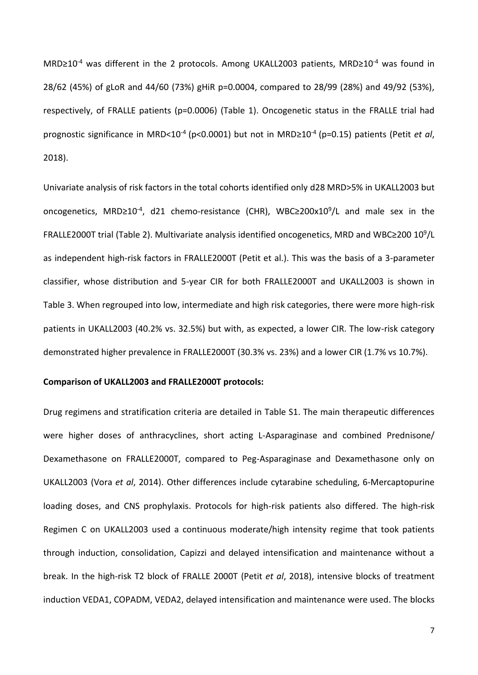MRD≥10<sup>-4</sup> was different in the 2 protocols. Among UKALL2003 patients, MRD≥10<sup>-4</sup> was found in 28/62 (45%) of gLoR and 44/60 (73%) gHiR p=0.0004, compared to 28/99 (28%) and 49/92 (53%), respectively, of FRALLE patients (p=0.0006) (Table 1). Oncogenetic status in the FRALLE trial had prognostic significance in MRD<10-4 (p<0.0001) but not in MRD≥10-4 (p=0.15) patients (Petit *et al*, 2018).

Univariate analysis of risk factors in the total cohorts identified only d28 MRD>5% in UKALL2003 but oncogenetics, MRD≥10<sup>-4</sup>, d21 chemo-resistance (CHR), WBC≥200x10<sup>9</sup>/L and male sex in the FRALLE2000T trial (Table 2). Multivariate analysis identified oncogenetics, MRD and WBC≥200 10<sup>9</sup>/L as independent high-risk factors in FRALLE2000T (Petit et al.). This was the basis of a 3-parameter classifier, whose distribution and 5-year CIR for both FRALLE2000T and UKALL2003 is shown in Table 3. When regrouped into low, intermediate and high risk categories, there were more high-risk patients in UKALL2003 (40.2% vs. 32.5%) but with, as expected, a lower CIR. The low-risk category demonstrated higher prevalence in FRALLE2000T (30.3% vs. 23%) and a lower CIR (1.7% vs 10.7%).

## **Comparison of UKALL2003 and FRALLE2000T protocols:**

Drug regimens and stratification criteria are detailed in Table S1. The main therapeutic differences were higher doses of anthracyclines, short acting L-Asparaginase and combined Prednisone/ Dexamethasone on FRALLE2000T, compared to Peg-Asparaginase and Dexamethasone only on UKALL2003 (Vora *et al*, 2014). Other differences include cytarabine scheduling, 6-Mercaptopurine loading doses, and CNS prophylaxis. Protocols for high-risk patients also differed. The high-risk Regimen C on UKALL2003 used a continuous moderate/high intensity regime that took patients through induction, consolidation, Capizzi and delayed intensification and maintenance without a break. In the high-risk T2 block of FRALLE 2000T (Petit *et al*, 2018), intensive blocks of treatment induction VEDA1, COPADM, VEDA2, delayed intensification and maintenance were used. The blocks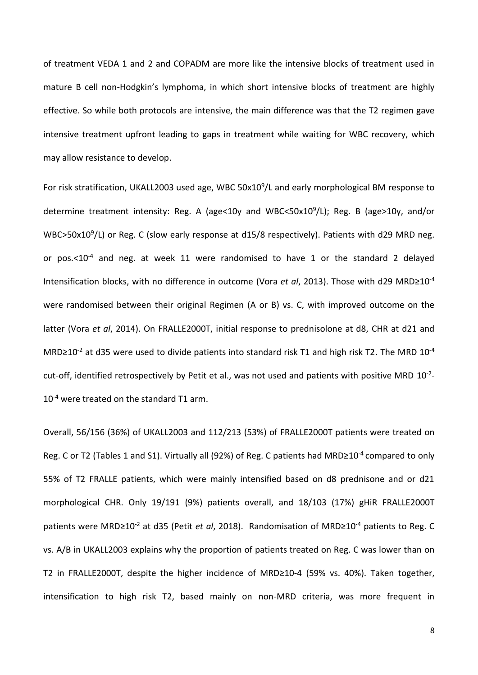of treatment VEDA 1 and 2 and COPADM are more like the intensive blocks of treatment used in mature B cell non-Hodgkin's lymphoma, in which short intensive blocks of treatment are highly effective. So while both protocols are intensive, the main difference was that the T2 regimen gave intensive treatment upfront leading to gaps in treatment while waiting for WBC recovery, which may allow resistance to develop.

For risk stratification, UKALL2003 used age, WBC 50x10<sup>9</sup>/L and early morphological BM response to determine treatment intensity: Reg. A (age<10y and WBC<50x10<sup>9</sup>/L); Reg. B (age>10y, and/or WBC>50x10<sup>9</sup>/L) or Reg. C (slow early response at d15/8 respectively). Patients with d29 MRD neg. or pos.<10-4 and neg. at week 11 were randomised to have 1 or the standard 2 delayed Intensification blocks, with no difference in outcome (Vora *et al*, 2013). Those with d29 MRD≥10-4 were randomised between their original Regimen (A or B) vs. C, with improved outcome on the latter (Vora *et al*, 2014). On FRALLE2000T, initial response to prednisolone at d8, CHR at d21 and MRD≥10<sup>-2</sup> at d35 were used to divide patients into standard risk T1 and high risk T2. The MRD 10<sup>-4</sup> cut-off, identified retrospectively by Petit et al., was not used and patients with positive MRD  $10^{-2}$ -10<sup>-4</sup> were treated on the standard T1 arm.

Overall, 56/156 (36%) of UKALL2003 and 112/213 (53%) of FRALLE2000T patients were treated on Reg. C or T2 (Tables 1 and S1). Virtually all (92%) of Reg. C patients had MRD≥10<sup>-4</sup> compared to only 55% of T2 FRALLE patients, which were mainly intensified based on d8 prednisone and or d21 morphological CHR. Only 19/191 (9%) patients overall, and 18/103 (17%) gHiR FRALLE2000T patients were MRD≥10-2 at d35 (Petit *et al*, 2018). Randomisation of MRD≥10-4 patients to Reg. C vs. A/B in UKALL2003 explains why the proportion of patients treated on Reg. C was lower than on T2 in FRALLE2000T, despite the higher incidence of MRD≥10-4 (59% vs. 40%). Taken together, intensification to high risk T2, based mainly on non-MRD criteria, was more frequent in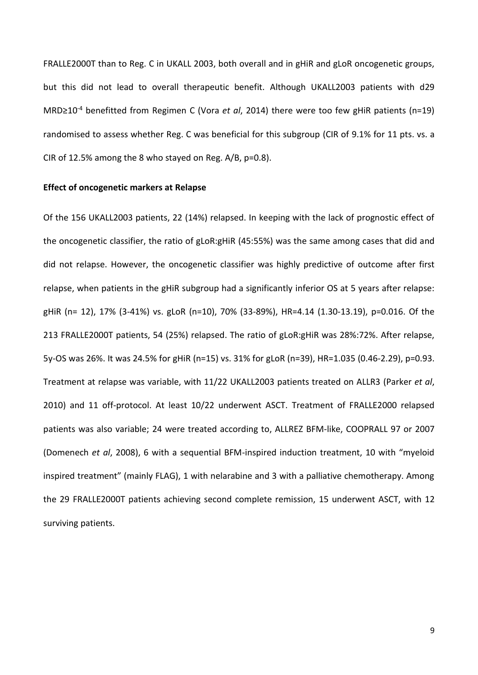FRALLE2000T than to Reg. C in UKALL 2003, both overall and in gHiR and gLoR oncogenetic groups, but this did not lead to overall therapeutic benefit. Although UKALL2003 patients with d29 MRD≥10-4 benefitted from Regimen C (Vora *et al*, 2014) there were too few gHiR patients (n=19) randomised to assess whether Reg. C was beneficial for this subgroup (CIR of 9.1% for 11 pts. vs. a CIR of 12.5% among the 8 who stayed on Reg. A/B, p=0.8).

#### **Effect of oncogenetic markers at Relapse**

Of the 156 UKALL2003 patients, 22 (14%) relapsed. In keeping with the lack of prognostic effect of the oncogenetic classifier, the ratio of gLoR:gHiR (45:55%) was the same among cases that did and did not relapse. However, the oncogenetic classifier was highly predictive of outcome after first relapse, when patients in the gHiR subgroup had a significantly inferior OS at 5 years after relapse: gHiR (n= 12), 17% (3-41%) vs. gLoR (n=10), 70% (33-89%), HR=4.14 (1.30-13.19), p=0.016. Of the 213 FRALLE2000T patients, 54 (25%) relapsed. The ratio of gLoR:gHiR was 28%:72%. After relapse, 5y-OS was 26%. It was 24.5% for gHiR (n=15) vs. 31% for gLoR (n=39), HR=1.035 (0.46-2.29), p=0.93. Treatment at relapse was variable, with 11/22 UKALL2003 patients treated on ALLR3 (Parker *et al*, 2010) and 11 off-protocol. At least 10/22 underwent ASCT. Treatment of FRALLE2000 relapsed patients was also variable; 24 were treated according to, ALLREZ BFM-like, COOPRALL 97 or 2007 (Domenech *et al*, 2008), 6 with a sequential BFM-inspired induction treatment, 10 with "myeloid inspired treatment" (mainly FLAG), 1 with nelarabine and 3 with a palliative chemotherapy. Among the 29 FRALLE2000T patients achieving second complete remission, 15 underwent ASCT, with 12 surviving patients.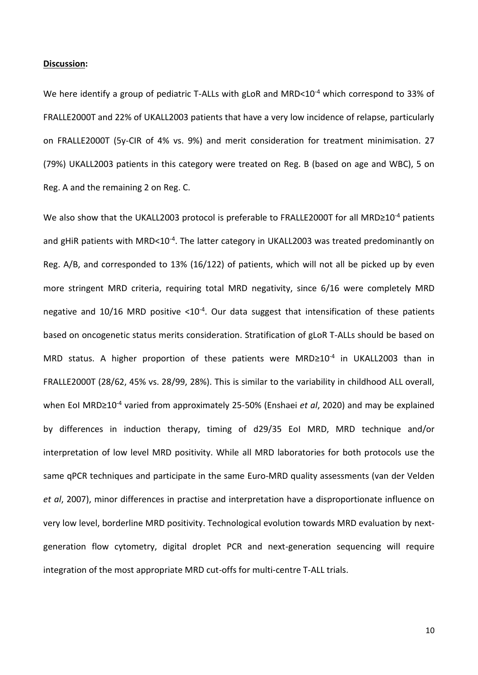#### **Discussion:**

We here identify a group of pediatric T-ALLs with gLoR and MRD<10<sup>-4</sup> which correspond to 33% of FRALLE2000T and 22% of UKALL2003 patients that have a very low incidence of relapse, particularly on FRALLE2000T (5y-CIR of 4% vs. 9%) and merit consideration for treatment minimisation. 27 (79%) UKALL2003 patients in this category were treated on Reg. B (based on age and WBC), 5 on Reg. A and the remaining 2 on Reg. C.

We also show that the UKALL2003 protocol is preferable to FRALLE2000T for all MRD≥10<sup>-4</sup> patients and gHiR patients with MRD<10<sup>-4</sup>. The latter category in UKALL2003 was treated predominantly on Reg. A/B, and corresponded to 13% (16/122) of patients, which will not all be picked up by even more stringent MRD criteria, requiring total MRD negativity, since 6/16 were completely MRD negative and  $10/16$  MRD positive < $10^{-4}$ . Our data suggest that intensification of these patients based on oncogenetic status merits consideration. Stratification of gLoR T-ALLs should be based on MRD status. A higher proportion of these patients were MRD≥10<sup>-4</sup> in UKALL2003 than in FRALLE2000T (28/62, 45% vs. 28/99, 28%). This is similar to the variability in childhood ALL overall, when EoI MRD≥10-4 varied from approximately 25-50% (Enshaei *et al*, 2020) and may be explained by differences in induction therapy, timing of d29/35 EoI MRD, MRD technique and/or interpretation of low level MRD positivity. While all MRD laboratories for both protocols use the same qPCR techniques and participate in the same Euro-MRD quality assessments (van der Velden *et al*, 2007), minor differences in practise and interpretation have a disproportionate influence on very low level, borderline MRD positivity. Technological evolution towards MRD evaluation by nextgeneration flow cytometry, digital droplet PCR and next-generation sequencing will require integration of the most appropriate MRD cut-offs for multi-centre T-ALL trials.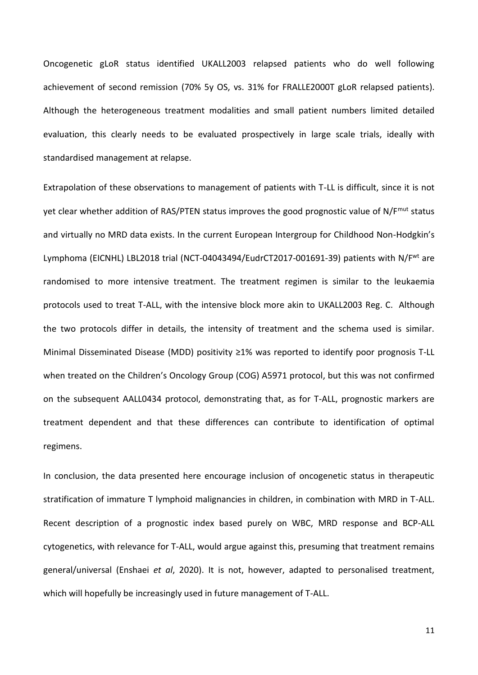Oncogenetic gLoR status identified UKALL2003 relapsed patients who do well following achievement of second remission (70% 5y OS, vs. 31% for FRALLE2000T gLoR relapsed patients). Although the heterogeneous treatment modalities and small patient numbers limited detailed evaluation, this clearly needs to be evaluated prospectively in large scale trials, ideally with standardised management at relapse.

Extrapolation of these observations to management of patients with T-LL is difficult, since it is not yet clear whether addition of RAS/PTEN status improves the good prognostic value of N/F<sup>mut</sup> status and virtually no MRD data exists. In the current European Intergroup for Childhood Non-Hodgkin's Lymphoma (EICNHL) LBL2018 trial (NCT-04043494/EudrCT2017-001691-39) patients with N/F<sup>wt</sup> are randomised to more intensive treatment. The treatment regimen is similar to the leukaemia protocols used to treat T-ALL, with the intensive block more akin to UKALL2003 Reg. C. Although the two protocols differ in details, the intensity of treatment and the schema used is similar. Minimal Disseminated Disease (MDD) positivity ≥1% was reported to identify poor prognosis T-LL when treated on the Children's Oncology Group (COG) A5971 protocol, but this was not confirmed on the subsequent AALL0434 protocol, demonstrating that, as for T-ALL, prognostic markers are treatment dependent and that these differences can contribute to identification of optimal regimens.

In conclusion, the data presented here encourage inclusion of oncogenetic status in therapeutic stratification of immature T lymphoid malignancies in children, in combination with MRD in T-ALL. Recent description of a prognostic index based purely on WBC, MRD response and BCP-ALL cytogenetics, with relevance for T-ALL, would argue against this, presuming that treatment remains general/universal (Enshaei *et al*, 2020). It is not, however, adapted to personalised treatment, which will hopefully be increasingly used in future management of T-ALL.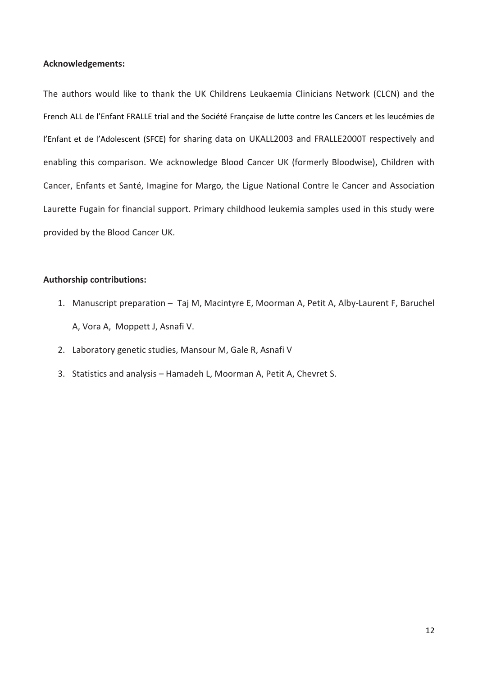#### **Acknowledgements:**

The authors would like to thank the UK Childrens Leukaemia Clinicians Network (CLCN) and the French ALL de l'Enfant FRALLE trial and the Société Française de lutte contre les Cancers et les leucémies de l'Enfant et de l'Adolescent (SFCE) for sharing data on UKALL2003 and FRALLE2000T respectively and enabling this comparison. We acknowledge Blood Cancer UK (formerly Bloodwise), Children with Cancer, Enfants et Santé, Imagine for Margo, the Ligue National Contre le Cancer and Association Laurette Fugain for financial support. Primary childhood leukemia samples used in this study were provided by the Blood Cancer UK.

# **Authorship contributions:**

- 1. Manuscript preparation Taj M, Macintyre E, Moorman A, Petit A, Alby-Laurent F, Baruchel A, Vora A, Moppett J, Asnafi V.
- 2. Laboratory genetic studies, Mansour M, Gale R, Asnafi V
- 3. Statistics and analysis Hamadeh L, Moorman A, Petit A, Chevret S.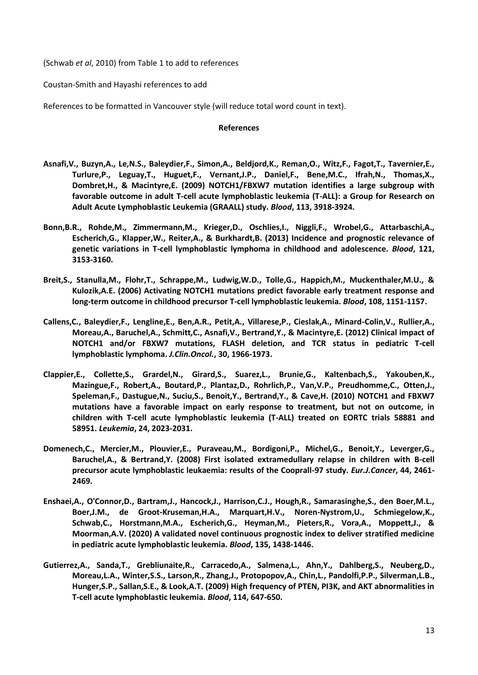(Schwab *et al*, 2010) from Table 1 to add to references

Coustan-Smith and Hayashi references to add

References to be formatted in Vancouver style (will reduce total word count in text).

#### **References**

- **Asnafi,V., Buzyn,A., Le,N.S., Baleydier,F., Simon,A., Beldjord,K., Reman,O., Witz,F., Fagot,T., Tavernier,E., Turlure,P., Leguay,T., Huguet,F., Vernant,J.P., Daniel,F., Bene,M.C., Ifrah,N., Thomas,X., Dombret,H., & Macintyre,E. (2009) NOTCH1/FBXW7 mutation identifies a large subgroup with favorable outcome in adult T-cell acute lymphoblastic leukemia (T-ALL): a Group for Research on Adult Acute Lymphoblastic Leukemia (GRAALL) study.** *Blood***, 113, 3918-3924.**
- **Bonn,B.R., Rohde,M., Zimmermann,M., Krieger,D., Oschlies,I., Niggli,F., Wrobel,G., Attarbaschi,A., Escherich,G., Klapper,W., Reiter,A., & Burkhardt,B. (2013) Incidence and prognostic relevance of genetic variations in T-cell lymphoblastic lymphoma in childhood and adolescence.** *Blood***, 121, 3153-3160.**
- **Breit,S., Stanulla,M., Flohr,T., Schrappe,M., Ludwig,W.D., Tolle,G., Happich,M., Muckenthaler,M.U., & Kulozik,A.E. (2006) Activating NOTCH1 mutations predict favorable early treatment response and long-term outcome in childhood precursor T-cell lymphoblastic leukemia.** *Blood***, 108, 1151-1157.**
- **Callens,C., Baleydier,F., Lengline,E., Ben,A.R., Petit,A., Villarese,P., Cieslak,A., Minard-Colin,V., Rullier,A., Moreau,A., Baruchel,A., Schmitt,C., Asnafi,V., Bertrand,Y., & Macintyre,E. (2012) Clinical impact of NOTCH1 and/or FBXW7 mutations, FLASH deletion, and TCR status in pediatric T-cell lymphoblastic lymphoma.** *J.Clin.Oncol.***, 30, 1966-1973.**
- **Clappier,E., Collette,S., Grardel,N., Girard,S., Suarez,L., Brunie,G., Kaltenbach,S., Yakouben,K., Mazingue,F., Robert,A., Boutard,P., Plantaz,D., Rohrlich,P., Van,V.P., Preudhomme,C., Otten,J., Speleman,F., Dastugue,N., Suciu,S., Benoit,Y., Bertrand,Y., & Cave,H. (2010) NOTCH1 and FBXW7 mutations have a favorable impact on early response to treatment, but not on outcome, in children with T-cell acute lymphoblastic leukemia (T-ALL) treated on EORTC trials 58881 and 58951.** *Leukemia***, 24, 2023-2031.**
- **Domenech,C., Mercier,M., Plouvier,E., Puraveau,M., Bordigoni,P., Michel,G., Benoit,Y., Leverger,G., Baruchel,A., & Bertrand,Y. (2008) First isolated extramedullary relapse in children with B-cell precursor acute lymphoblastic leukaemia: results of the Cooprall-97 study.** *Eur.J.Cancer***, 44, 2461- 2469.**
- **Enshaei,A., O'Connor,D., Bartram,J., Hancock,J., Harrison,C.J., Hough,R., Samarasinghe,S., den Boer,M.L., Boer,J.M., de Groot-Kruseman,H.A., Marquart,H.V., Noren-Nystrom,U., Schmiegelow,K., Schwab,C., Horstmann,M.A., Escherich,G., Heyman,M., Pieters,R., Vora,A., Moppett,J., & Moorman,A.V. (2020) A validated novel continuous prognostic index to deliver stratified medicine in pediatric acute lymphoblastic leukemia.** *Blood***, 135, 1438-1446.**
- **Gutierrez,A., Sanda,T., Grebliunaite,R., Carracedo,A., Salmena,L., Ahn,Y., Dahlberg,S., Neuberg,D., Moreau,L.A., Winter,S.S., Larson,R., Zhang,J., Protopopov,A., Chin,L., Pandolfi,P.P., Silverman,L.B., Hunger,S.P., Sallan,S.E., & Look,A.T. (2009) High frequency of PTEN, PI3K, and AKT abnormalities in T-cell acute lymphoblastic leukemia.** *Blood***, 114, 647-650.**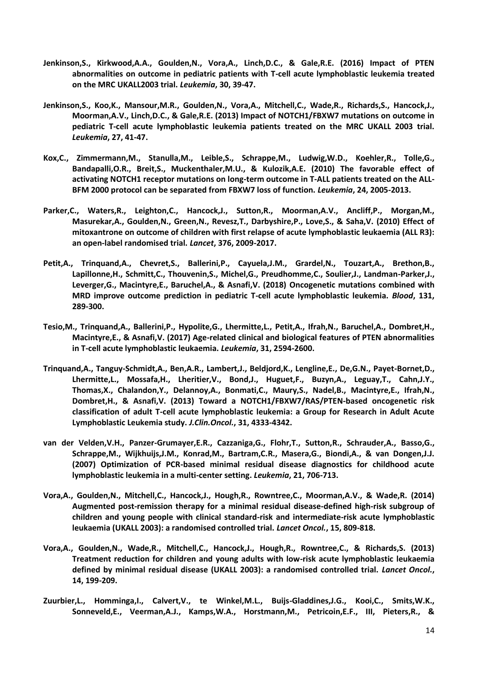- **Jenkinson,S., Kirkwood,A.A., Goulden,N., Vora,A., Linch,D.C., & Gale,R.E. (2016) Impact of PTEN abnormalities on outcome in pediatric patients with T-cell acute lymphoblastic leukemia treated on the MRC UKALL2003 trial.** *Leukemia***, 30, 39-47.**
- **Jenkinson,S., Koo,K., Mansour,M.R., Goulden,N., Vora,A., Mitchell,C., Wade,R., Richards,S., Hancock,J., Moorman,A.V., Linch,D.C., & Gale,R.E. (2013) Impact of NOTCH1/FBXW7 mutations on outcome in pediatric T-cell acute lymphoblastic leukemia patients treated on the MRC UKALL 2003 trial.**  *Leukemia***, 27, 41-47.**
- **Kox,C., Zimmermann,M., Stanulla,M., Leible,S., Schrappe,M., Ludwig,W.D., Koehler,R., Tolle,G., Bandapalli,O.R., Breit,S., Muckenthaler,M.U., & Kulozik,A.E. (2010) The favorable effect of activating NOTCH1 receptor mutations on long-term outcome in T-ALL patients treated on the ALL-BFM 2000 protocol can be separated from FBXW7 loss of function.** *Leukemia***, 24, 2005-2013.**
- **Parker,C., Waters,R., Leighton,C., Hancock,J., Sutton,R., Moorman,A.V., Ancliff,P., Morgan,M., Masurekar,A., Goulden,N., Green,N., Revesz,T., Darbyshire,P., Love,S., & Saha,V. (2010) Effect of mitoxantrone on outcome of children with first relapse of acute lymphoblastic leukaemia (ALL R3): an open-label randomised trial.** *Lancet***, 376, 2009-2017.**
- **Petit,A., Trinquand,A., Chevret,S., Ballerini,P., Cayuela,J.M., Grardel,N., Touzart,A., Brethon,B., Lapillonne,H., Schmitt,C., Thouvenin,S., Michel,G., Preudhomme,C., Soulier,J., Landman-Parker,J., Leverger,G., Macintyre,E., Baruchel,A., & Asnafi,V. (2018) Oncogenetic mutations combined with MRD improve outcome prediction in pediatric T-cell acute lymphoblastic leukemia.** *Blood***, 131, 289-300.**
- **Tesio,M., Trinquand,A., Ballerini,P., Hypolite,G., Lhermitte,L., Petit,A., Ifrah,N., Baruchel,A., Dombret,H., Macintyre,E., & Asnafi,V. (2017) Age-related clinical and biological features of PTEN abnormalities in T-cell acute lymphoblastic leukaemia.** *Leukemia***, 31, 2594-2600.**
- **Trinquand,A., Tanguy-Schmidt,A., Ben,A.R., Lambert,J., Beldjord,K., Lengline,E., De,G.N., Payet-Bornet,D., Lhermitte,L., Mossafa,H., Lheritier,V., Bond,J., Huguet,F., Buzyn,A., Leguay,T., Cahn,J.Y., Thomas,X., Chalandon,Y., Delannoy,A., Bonmati,C., Maury,S., Nadel,B., Macintyre,E., Ifrah,N., Dombret,H., & Asnafi,V. (2013) Toward a NOTCH1/FBXW7/RAS/PTEN-based oncogenetic risk classification of adult T-cell acute lymphoblastic leukemia: a Group for Research in Adult Acute Lymphoblastic Leukemia study.** *J.Clin.Oncol.***, 31, 4333-4342.**
- **van der Velden,V.H., Panzer-Grumayer,E.R., Cazzaniga,G., Flohr,T., Sutton,R., Schrauder,A., Basso,G., Schrappe,M., Wijkhuijs,J.M., Konrad,M., Bartram,C.R., Masera,G., Biondi,A., & van Dongen,J.J. (2007) Optimization of PCR-based minimal residual disease diagnostics for childhood acute lymphoblastic leukemia in a multi-center setting.** *Leukemia***, 21, 706-713.**
- **Vora,A., Goulden,N., Mitchell,C., Hancock,J., Hough,R., Rowntree,C., Moorman,A.V., & Wade,R. (2014) Augmented post-remission therapy for a minimal residual disease-defined high-risk subgroup of children and young people with clinical standard-risk and intermediate-risk acute lymphoblastic leukaemia (UKALL 2003): a randomised controlled trial.** *Lancet Oncol.***, 15, 809-818.**
- **Vora,A., Goulden,N., Wade,R., Mitchell,C., Hancock,J., Hough,R., Rowntree,C., & Richards,S. (2013) Treatment reduction for children and young adults with low-risk acute lymphoblastic leukaemia defined by minimal residual disease (UKALL 2003): a randomised controlled trial.** *Lancet Oncol.***, 14, 199-209.**
- **Zuurbier,L., Homminga,I., Calvert,V., te Winkel,M.L., Buijs-Gladdines,J.G., Kooi,C., Smits,W.K., Sonneveld,E., Veerman,A.J., Kamps,W.A., Horstmann,M., Petricoin,E.F., III, Pieters,R., &**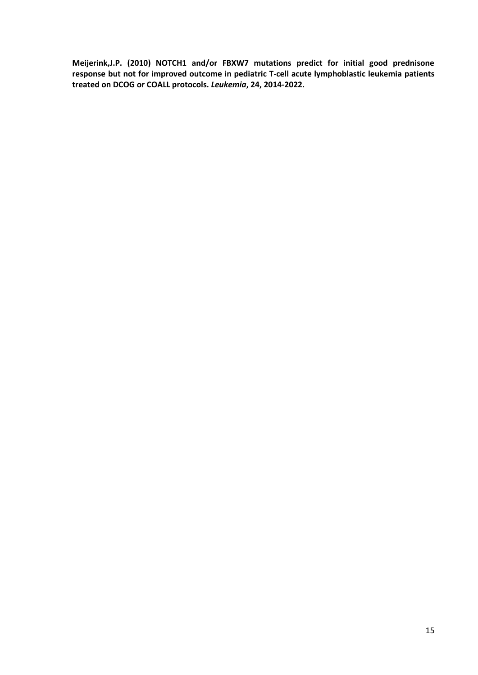**Meijerink,J.P. (2010) NOTCH1 and/or FBXW7 mutations predict for initial good prednisone response but not for improved outcome in pediatric T-cell acute lymphoblastic leukemia patients treated on DCOG or COALL protocols.** *Leukemia***, 24, 2014-2022.**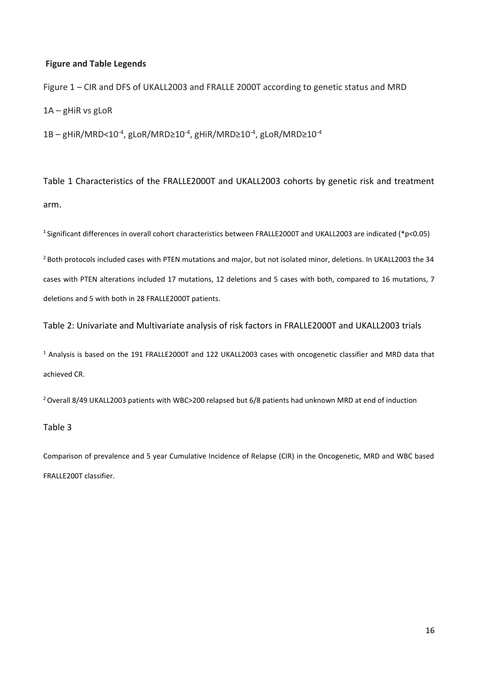## **Figure and Table Legends**

Figure 1 – CIR and DFS of UKALL2003 and FRALLE 2000T according to genetic status and MRD 1A – gHiR vs gLoR

 $1B - gHiR/MRD < 10^{-4}$ , gLoR/MRD≥ $10^{-4}$ , gHiR/MRD≥ $10^{-4}$ , gLoR/MRD≥ $10^{-4}$ 

Table 1 Characteristics of the FRALLE2000T and UKALL2003 cohorts by genetic risk and treatment arm.

<sup>1</sup>Significant differences in overall cohort characteristics between FRALLE2000T and UKALL2003 are indicated (\*p<0.05)

<sup>2</sup> Both protocols included cases with PTEN mutations and major, but not isolated minor, deletions. In UKALL2003 the 34 cases with PTEN alterations included 17 mutations, 12 deletions and 5 cases with both, compared to 16 mutations, 7 deletions and 5 with both in 28 FRALLE2000T patients.

Table 2: Univariate and Multivariate analysis of risk factors in FRALLE2000T and UKALL2003 trials

<sup>1</sup> Analysis is based on the 191 FRALLE2000T and 122 UKALL2003 cases with oncogenetic classifier and MRD data that achieved CR.

<sup>2</sup> Overall 8/49 UKALL2003 patients with WBC>200 relapsed but 6/8 patients had unknown MRD at end of induction

#### Table 3

Comparison of prevalence and 5 year Cumulative Incidence of Relapse (CIR) in the Oncogenetic, MRD and WBC based FRALLE200T classifier.